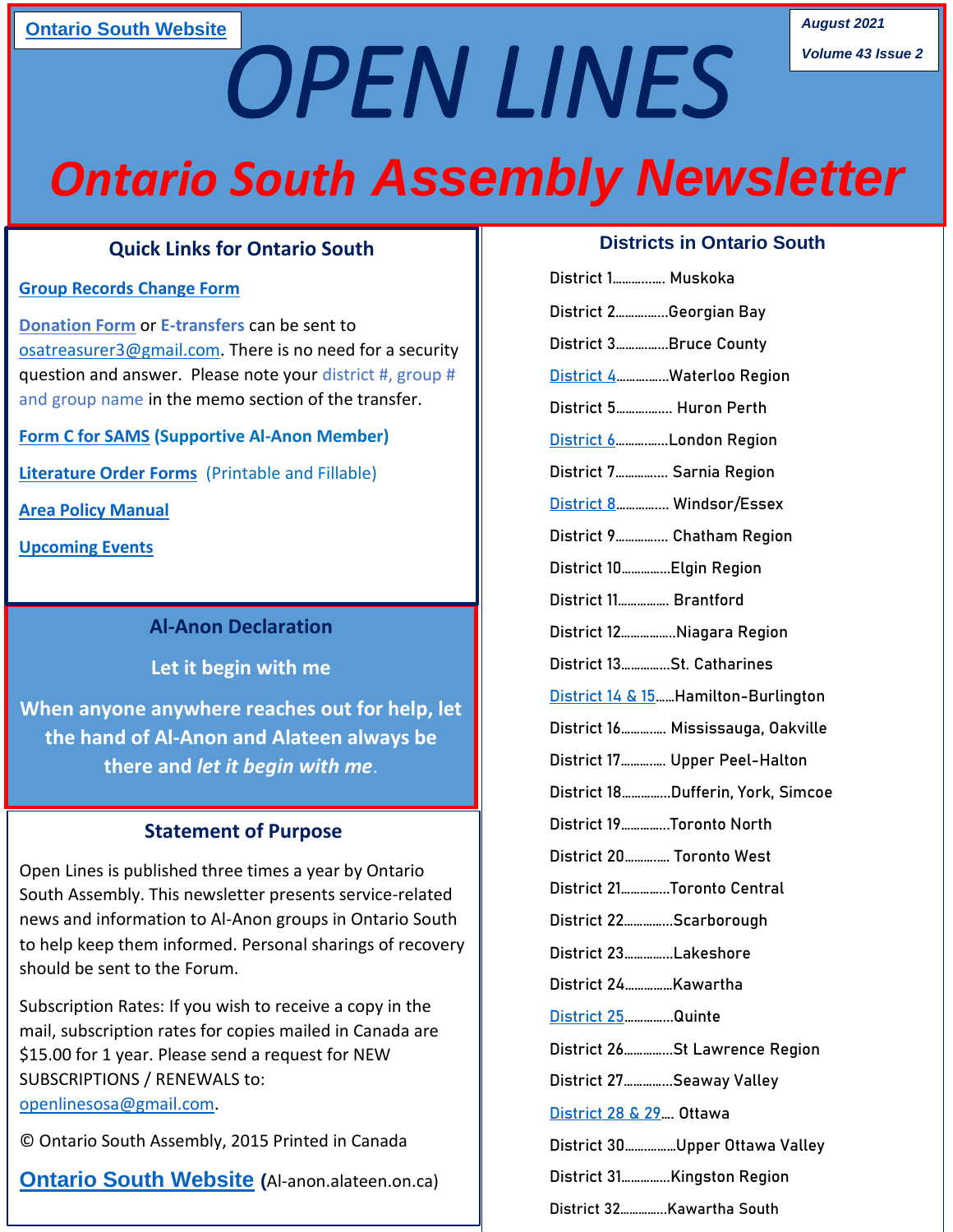## **[Ontario South Website](http://al-anon.alateen.on.ca/) August 2021**

*Volume 43 Issue 2*

*Ontario South Assembly Newsletter*

*OPEN LINES* 

#### **Quick Links for Ontario South**

#### **[Group Records Change Form](https://form.jotform.com/93146914590260)**

**Group Records Change Form**<br>[Donation Form](http://al-anon.alateen.on.ca/wp-content/uploads/2019/11/donation-form.pdf) or E-transfers can be sent to [osatreasurer3@gmail.com.](mailto:osatreasurer3@gmail.com) There is no need for a security question and answer. Please note your district #, group # and group name in the memo section of the transfer.

**[Form C for SAMS](http://al-anon.alateen.on.ca/wp-content/uploads/2019/11/section-10-Form-C-SAM-screening-app-cert-jan2012.pdf) (Supportive Al-Anon Member)**

**[Literature Order Forms](http://al-anon.alateen.on.ca/literature/)** (Printable and Fillable)

**[Area Policy Manual](http://al-anon.alateen.on.ca/area-policy-manual/)**

**[Upcoming Events](http://al-anon.alateen.on.ca/events/)**

#### **Al-Anon Declaration**

**Let it begin with me** 

**When anyone anywhere reaches out for help, let the hand of Al-Anon and Alateen always be there and** *let it begin with me*.

#### **Statement of Purpose**

Open Lines is published three times a year by Ontario South Assembly. This newsletter presents service-related news and information to Al-Anon groups in Ontario South to help keep them informed. Personal sharings of recovery should be sent to the Forum.

Subscription Rates: If you wish to receive a copy in the mail, subscription rates for copies mailed in Canada are \$15.00 for 1 year. Please send a request for NEW SUBSCRIPTIONS / RENEWALS to: [openlinesosa@gmail.com.](mailto:openlinesosa@gmail.com)

© Ontario South Assembly, 2015 Printed in Canada

**[Ontario South Website](http://al-anon.alateen.on.ca/) (**Al-anon.alateen.on.ca)

#### **Districts in Ontario South**

| District 1 Muskoka                    |
|---------------------------------------|
| District 2Georgian Bay                |
| District 3Bruce County                |
| District 4Waterloo Region             |
| District 5 Huron Perth                |
| District 6London Region               |
| District 7 Sarnia Region              |
| District 8 Windsor/Essex              |
| District 9 Chatham Region             |
| District 10 Elgin Region              |
| District 11 Brantford                 |
| District 12Niagara Region             |
| District 13St. Catharines             |
| District 14 & 15  Hamilton-Burlington |
| District 16 Mississauga, Oakville     |
| District 17 Upper Peel-Halton         |
| District 18Dufferin, York, Simcoe     |
| District 19Toronto North              |
| District 20 Toronto West              |
| District 21Toronto Central            |
| District 22Scarborough                |
| District 23Lakeshore                  |
| District 24Kawartha                   |
| District 25 Quinte                    |
| District 26St Lawrence Region         |
| District 27Seaway Valley              |
| District 28 & 29  Ottawa              |
| District 30Upper Ottawa Valley        |
| District 31Kingston Region            |
| District 32Kawartha South             |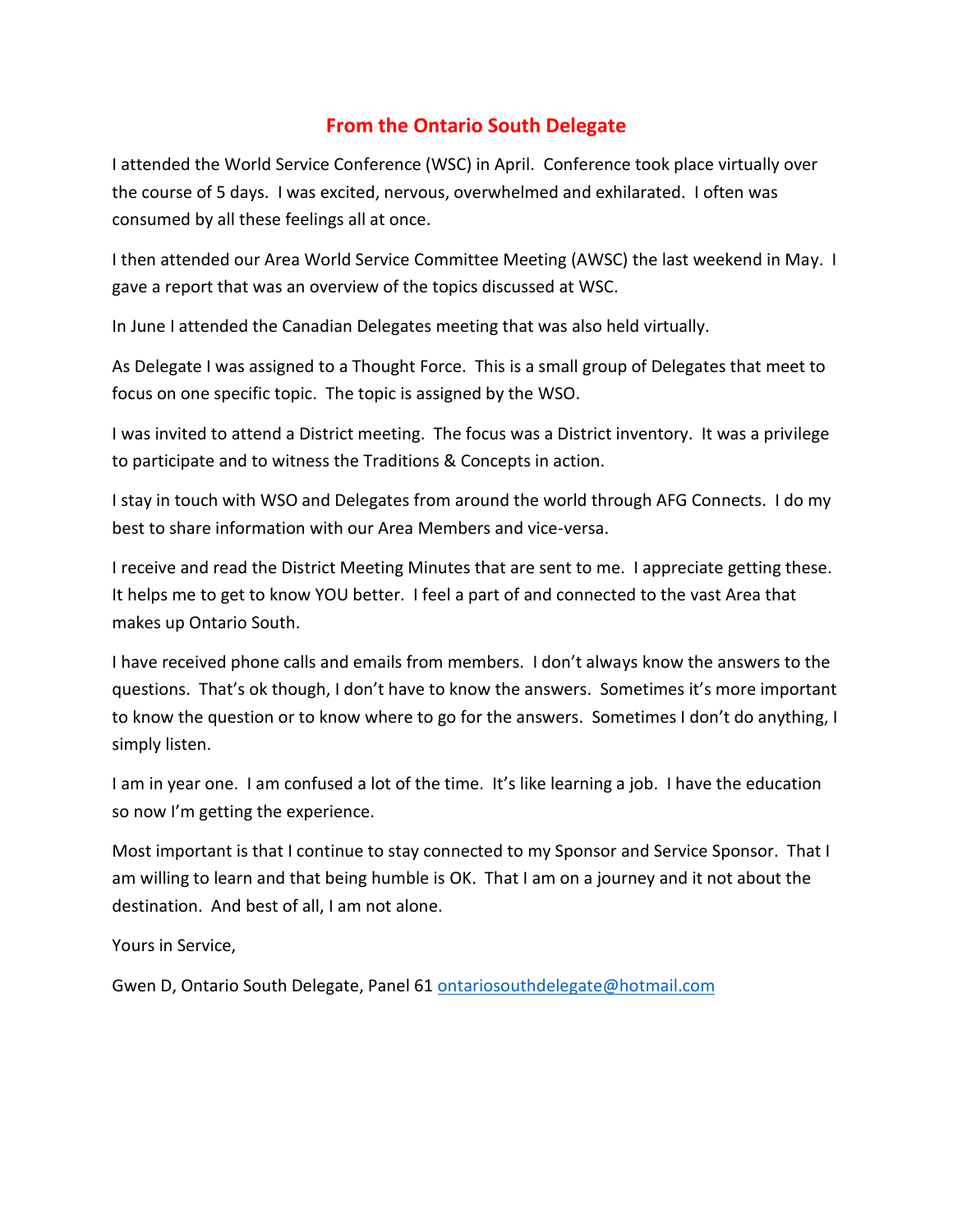## **From the Ontario South Delegate**

I attended the World Service Conference (WSC) in April. Conference took place virtually over the course of 5 days. I was excited, nervous, overwhelmed and exhilarated. I often was consumed by all these feelings all at once.

I then attended our Area World Service Committee Meeting (AWSC) the last weekend in May. I gave a report that was an overview of the topics discussed at WSC.

In June I attended the Canadian Delegates meeting that was also held virtually.

As Delegate I was assigned to a Thought Force. This is a small group of Delegates that meet to focus on one specific topic. The topic is assigned by the WSO.

I was invited to attend a District meeting. The focus was a District inventory. It was a privilege to participate and to witness the Traditions & Concepts in action.

I stay in touch with WSO and Delegates from around the world through AFG Connects. I do my best to share information with our Area Members and vice-versa.

I receive and read the District Meeting Minutes that are sent to me. I appreciate getting these. It helps me to get to know YOU better. I feel a part of and connected to the vast Area that makes up Ontario South.

I have received phone calls and emails from members. I don't always know the answers to the questions. That's ok though, I don't have to know the answers. Sometimes it's more important to know the question or to know where to go for the answers. Sometimes I don't do anything, I simply listen.

I am in year one. I am confused a lot of the time. It's like learning a job. I have the education so now I'm getting the experience.

Most important is that I continue to stay connected to my Sponsor and Service Sponsor. That I am willing to learn and that being humble is OK. That I am on a journey and it not about the destination. And best of all, I am not alone.

Yours in Service,

Gwen D, Ontario South Delegate, Panel 61 [ontariosouthdelegate@hotmail.com](mailto:ontariosouthdelegate@hotmail.com)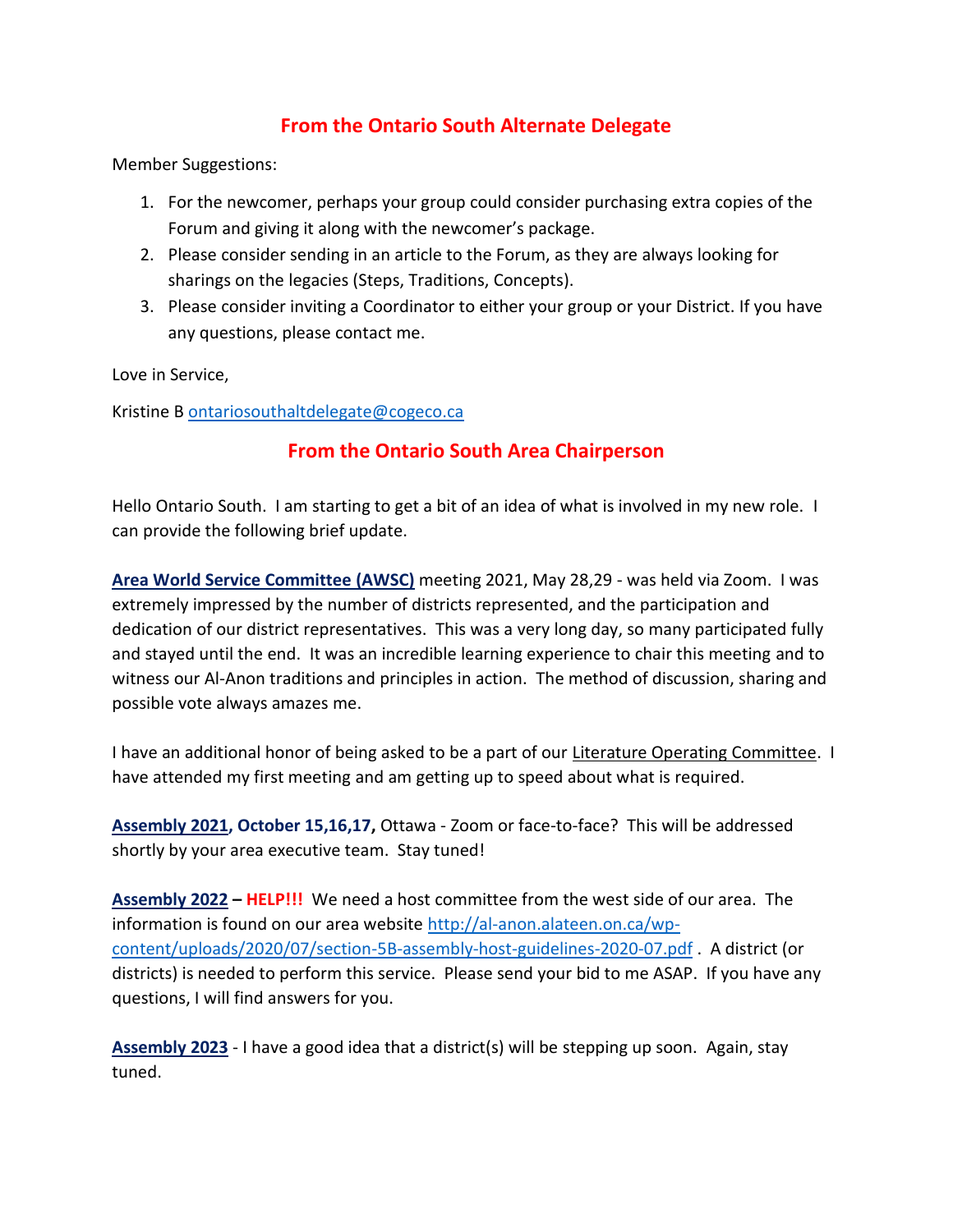## **From the Ontario South Alternate Delegate**

Member Suggestions:

- 1. For the newcomer, perhaps your group could consider purchasing extra copies of the Forum and giving it along with the newcomer's package.
- 2. Please consider sending in an article to the Forum, as they are always looking for sharings on the legacies (Steps, Traditions, Concepts).
- 3. Please consider inviting a Coordinator to either your group or your District. If you have any questions, please contact me.

Love in Service,

Kristine B [ontariosouthaltdelegate@cogeco.ca](mailto:ontariosouthaltdelegate@cogeco.ca)

### **From the Ontario South Area Chairperson**

Hello Ontario South. I am starting to get a bit of an idea of what is involved in my new role. I can provide the following brief update.

**Area World Service Committee (AWSC)** meeting 2021, May 28,29 - was held via Zoom. I was extremely impressed by the number of districts represented, and the participation and dedication of our district representatives. This was a very long day, so many participated fully and stayed until the end. It was an incredible learning experience to chair this meeting and to witness our Al-Anon traditions and principles in action. The method of discussion, sharing and possible vote always amazes me.

I have an additional honor of being asked to be a part of our Literature Operating Committee. I have attended my first meeting and am getting up to speed about what is required.

**Assembly 2021, October 15,16,17,** Ottawa - Zoom or face-to-face? This will be addressed shortly by your area executive team. Stay tuned!

**Assembly 2022 – HELP!!!** We need a host committee from the west side of our area. The information is found on our area website [http://al-anon.alateen.on.ca/wp](http://al-anon.alateen.on.ca/wp-content/uploads/2020/07/section-5B-assembly-host-guidelines-2020-07.pdf)[content/uploads/2020/07/section-5B-assembly-host-guidelines-2020-07.pdf](http://al-anon.alateen.on.ca/wp-content/uploads/2020/07/section-5B-assembly-host-guidelines-2020-07.pdf) . A district (or districts) is needed to perform this service. Please send your bid to me ASAP. If you have any questions, I will find answers for you.

**Assembly 2023** - I have a good idea that a district(s) will be stepping up soon. Again, stay tuned.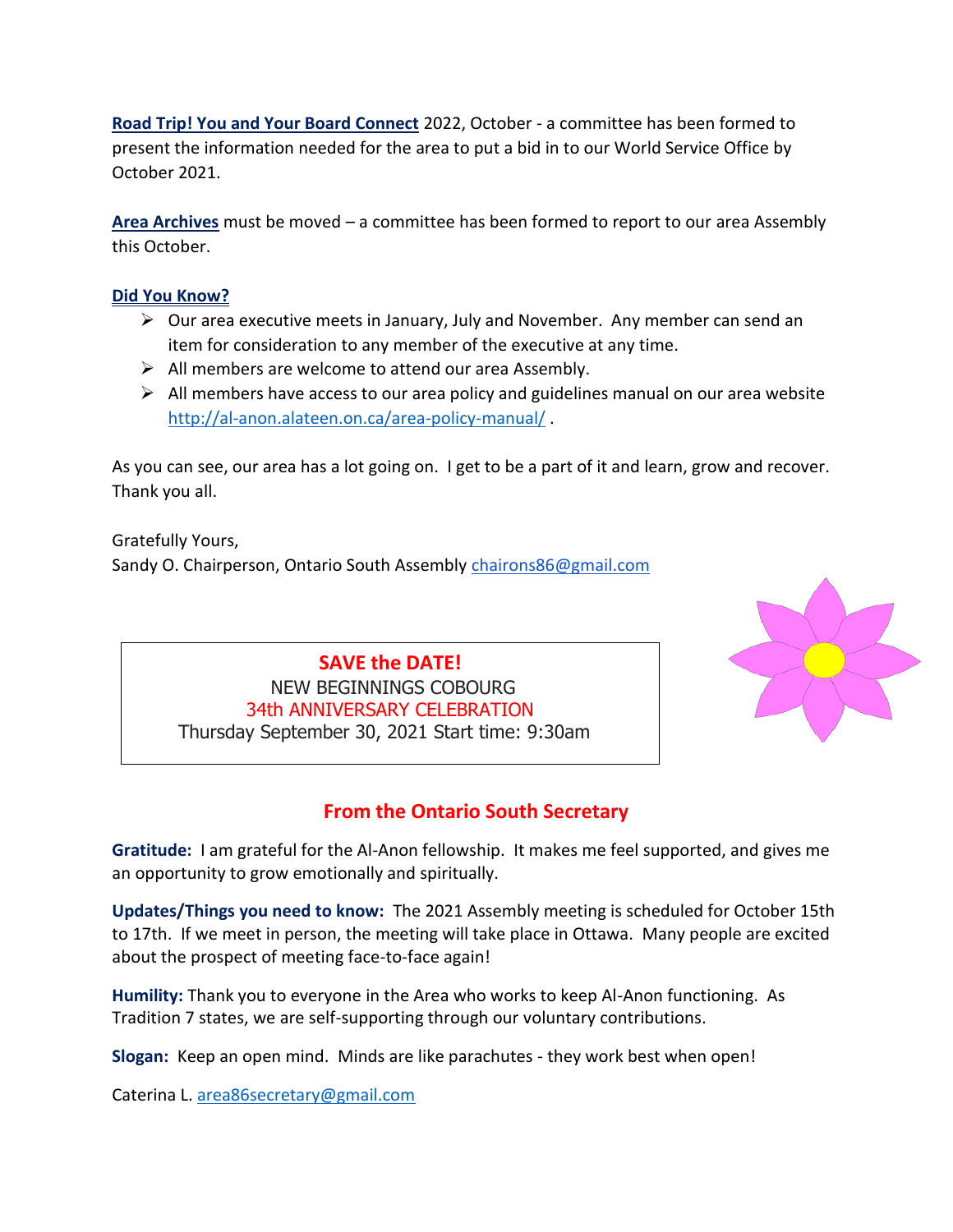**Road Trip! You and Your Board Connect** 2022, October - a committee has been formed to present the information needed for the area to put a bid in to our World Service Office by October 2021.

**Area Archives** must be moved – a committee has been formed to report to our area Assembly this October.

#### **Did You Know?**

- $\triangleright$  Our area executive meets in January, July and November. Any member can send an item for consideration to any member of the executive at any time.
- ➢ All members are welcome to attend our area Assembly.
- $\triangleright$  All members have access to our area policy and guidelines manual on our area website <http://al-anon.alateen.on.ca/area-policy-manual/> .

As you can see, our area has a lot going on. I get to be a part of it and learn, grow and recover. Thank you all.

Gratefully Yours, Sandy O. Chairperson, Ontario South Assembly [chairons86@gmail.com](mailto:chairons86@gmail.com)

> **SAVE the DATE!**  NEW BEGINNINGS COBOURG 34th ANNIVERSARY CELEBRATION Thursday September 30, 2021 Start time: 9:30am



## **From the Ontario South Secretary**

**Gratitude:** I am grateful for the Al-Anon fellowship. It makes me feel supported, and gives me an opportunity to grow emotionally and spiritually.

**Updates/Things you need to know:** The 2021 Assembly meeting is scheduled for October 15th to 17th. If we meet in person, the meeting will take place in Ottawa. Many people are excited about the prospect of meeting face-to-face again!

**Humility:** Thank you to everyone in the Area who works to keep Al-Anon functioning. As Tradition 7 states, we are self-supporting through our voluntary contributions.

**Slogan:** Keep an open mind. Minds are like parachutes - they work best when open!

Caterina L. [area86secretary@gmail.com](mailto:area86secretary@gmail.com)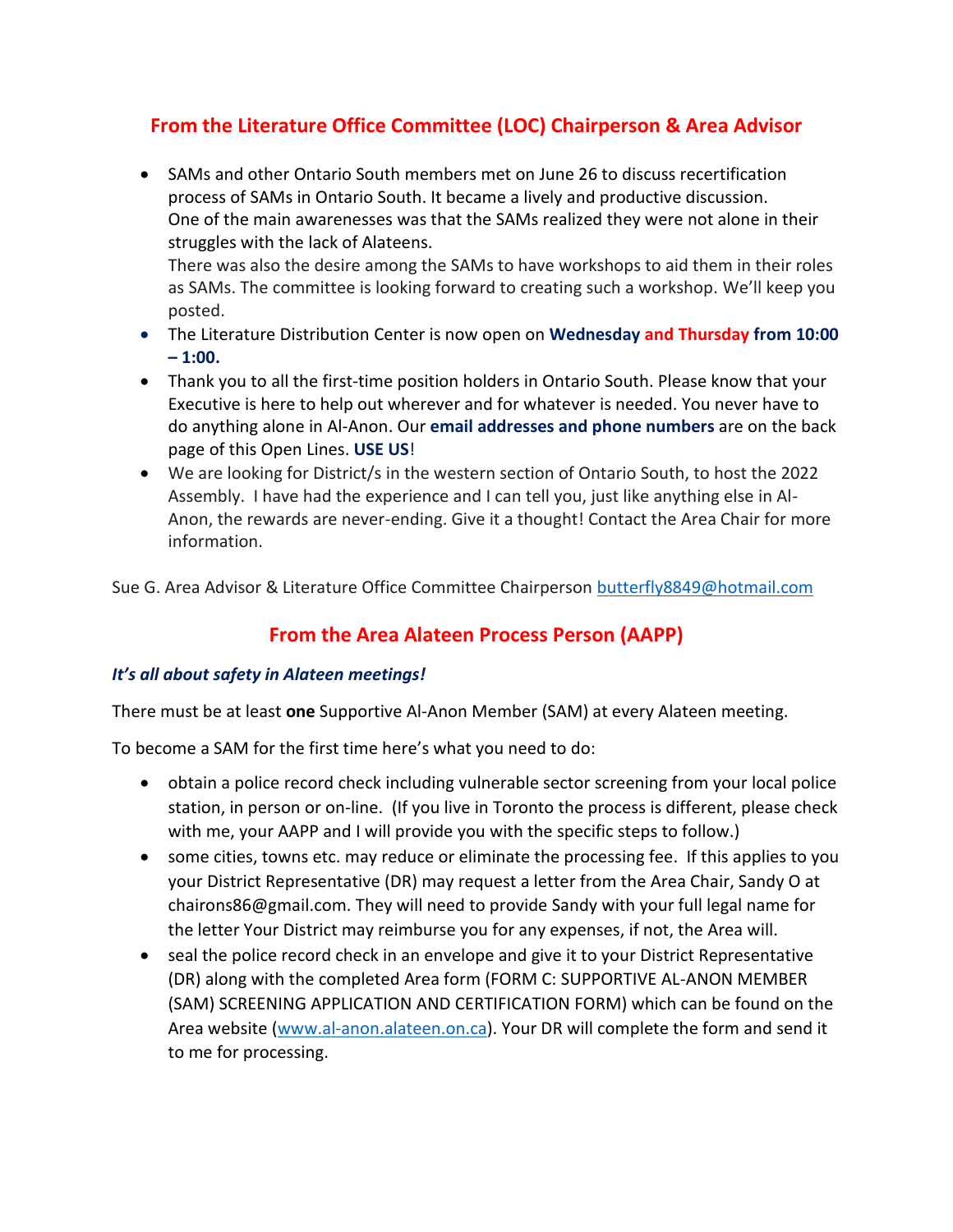## **From the Literature Office Committee (LOC) Chairperson & Area Advisor**

• SAMs and other Ontario South members met on June 26 to discuss recertification process of SAMs in Ontario South. It became a lively and productive discussion. One of the main awarenesses was that the SAMs realized they were not alone in their struggles with the lack of Alateens.

There was also the desire among the SAMs to have workshops to aid them in their roles as SAMs. The committee is looking forward to creating such a workshop. We'll keep you posted.

- The Literature Distribution Center is now open on **Wednesday and Thursday from 10:00 – 1:00.**
- Thank you to all the first-time position holders in Ontario South. Please know that your Executive is here to help out wherever and for whatever is needed. You never have to do anything alone in Al-Anon. Our **email addresses and phone numbers** are on the back page of this Open Lines. **USE US**!
- We are looking for District/s in the western section of Ontario South, to host the 2022 Assembly. I have had the experience and I can tell you, just like anything else in Al-Anon, the rewards are never-ending. Give it a thought! Contact the Area Chair for more information.

Sue G. Area Advisor & Literature Office Committee Chairperson [butterfly8849@hotmail.com](mailto:butterfly8849@hotmail.com)

## **From the Area Alateen Process Person (AAPP)**

#### *It's all about safety in Alateen meetings!*

There must be at least **one** Supportive Al-Anon Member (SAM) at every Alateen meeting.

To become a SAM for the first time here's what you need to do:

- obtain a police record check including vulnerable sector screening from your local police station, in person or on-line. (If you live in Toronto the process is different, please check with me, your AAPP and I will provide you with the specific steps to follow.)
- some cities, towns etc. may reduce or eliminate the processing fee. If this applies to you your District Representative (DR) may request a letter from the Area Chair, Sandy O at chairons86@gmail.com. They will need to provide Sandy with your full legal name for the letter Your District may reimburse you for any expenses, if not, the Area will.
- seal the police record check in an envelope and give it to your District Representative (DR) along with the completed Area form (FORM C: SUPPORTIVE AL-ANON MEMBER (SAM) SCREENING APPLICATION AND CERTIFICATION FORM) which can be found on the Area website [\(www.al-anon.alateen.on.ca\)](http://www.al-anon.alateen.on.ca/). Your DR will complete the form and send it to me for processing.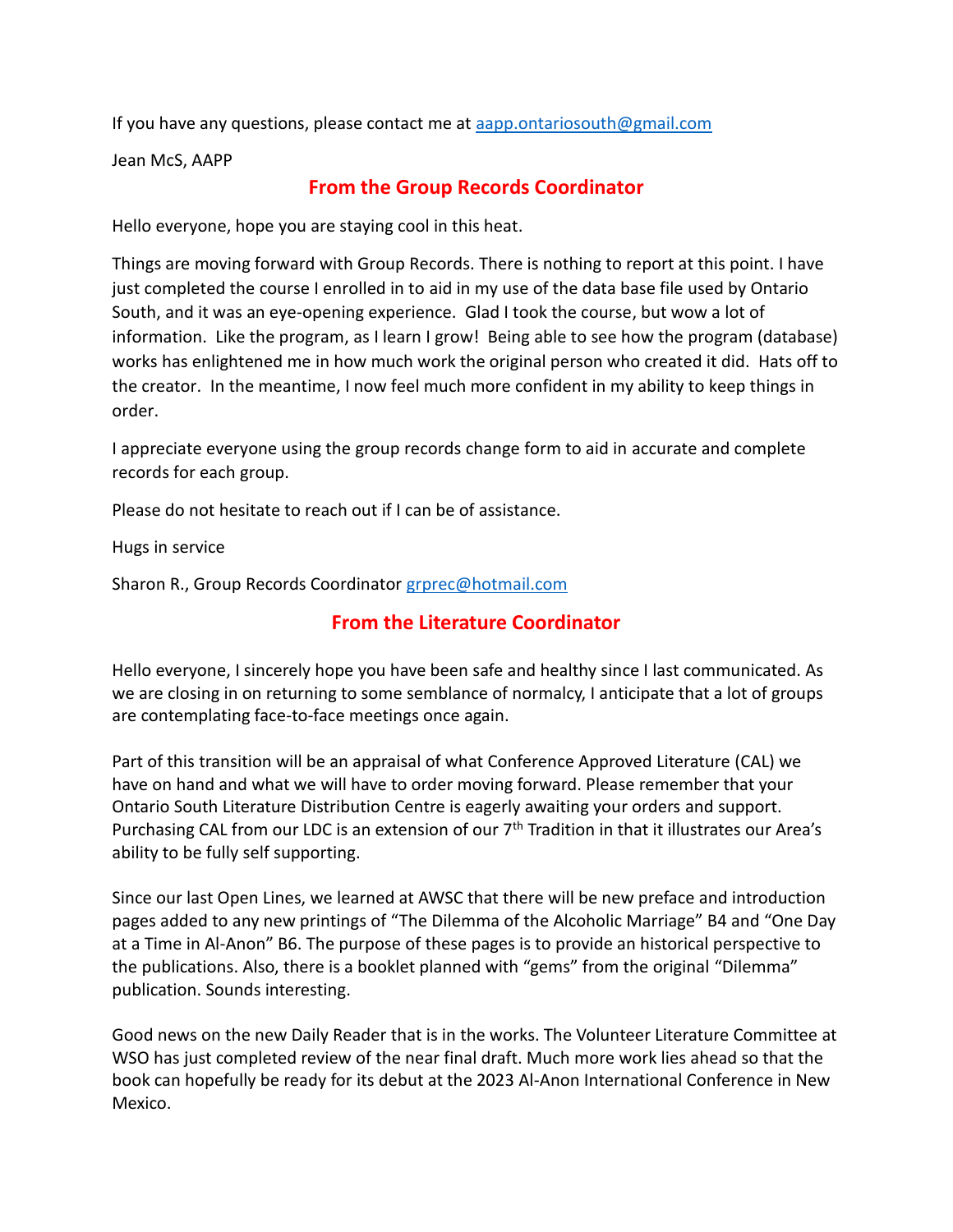If you have any questions, please contact me at [aapp.ontariosouth@gmail.com](mailto:aapp.ontariosouth@gmail.com)

Jean McS, AAPP

#### **From the Group Records Coordinator**

Hello everyone, hope you are staying cool in this heat.

Things are moving forward with Group Records. There is nothing to report at this point. I have just completed the course I enrolled in to aid in my use of the data base file used by Ontario South, and it was an eye-opening experience. Glad I took the course, but wow a lot of information. Like the program, as I learn I grow! Being able to see how the program (database) works has enlightened me in how much work the original person who created it did. Hats off to the creator. In the meantime, I now feel much more confident in my ability to keep things in order.

I appreciate everyone using the group records change form to aid in accurate and complete records for each group.

Please do not hesitate to reach out if I can be of assistance.

Hugs in service

Sharon R., Group Records Coordinator [grprec@hotmail.com](mailto:grprec@hotmail.com)

## **From the Literature Coordinator**

Hello everyone, I sincerely hope you have been safe and healthy since I last communicated. As we are closing in on returning to some semblance of normalcy, I anticipate that a lot of groups are contemplating face-to-face meetings once again.

Part of this transition will be an appraisal of what Conference Approved Literature (CAL) we have on hand and what we will have to order moving forward. Please remember that your Ontario South Literature Distribution Centre is eagerly awaiting your orders and support. Purchasing CAL from our LDC is an extension of our  $7<sup>th</sup>$  Tradition in that it illustrates our Area's ability to be fully self supporting.

Since our last Open Lines, we learned at AWSC that there will be new preface and introduction pages added to any new printings of "The Dilemma of the Alcoholic Marriage" B4 and "One Day at a Time in Al-Anon" B6. The purpose of these pages is to provide an historical perspective to the publications. Also, there is a booklet planned with "gems" from the original "Dilemma" publication. Sounds interesting.

Good news on the new Daily Reader that is in the works. The Volunteer Literature Committee at WSO has just completed review of the near final draft. Much more work lies ahead so that the book can hopefully be ready for its debut at the 2023 Al-Anon International Conference in New Mexico.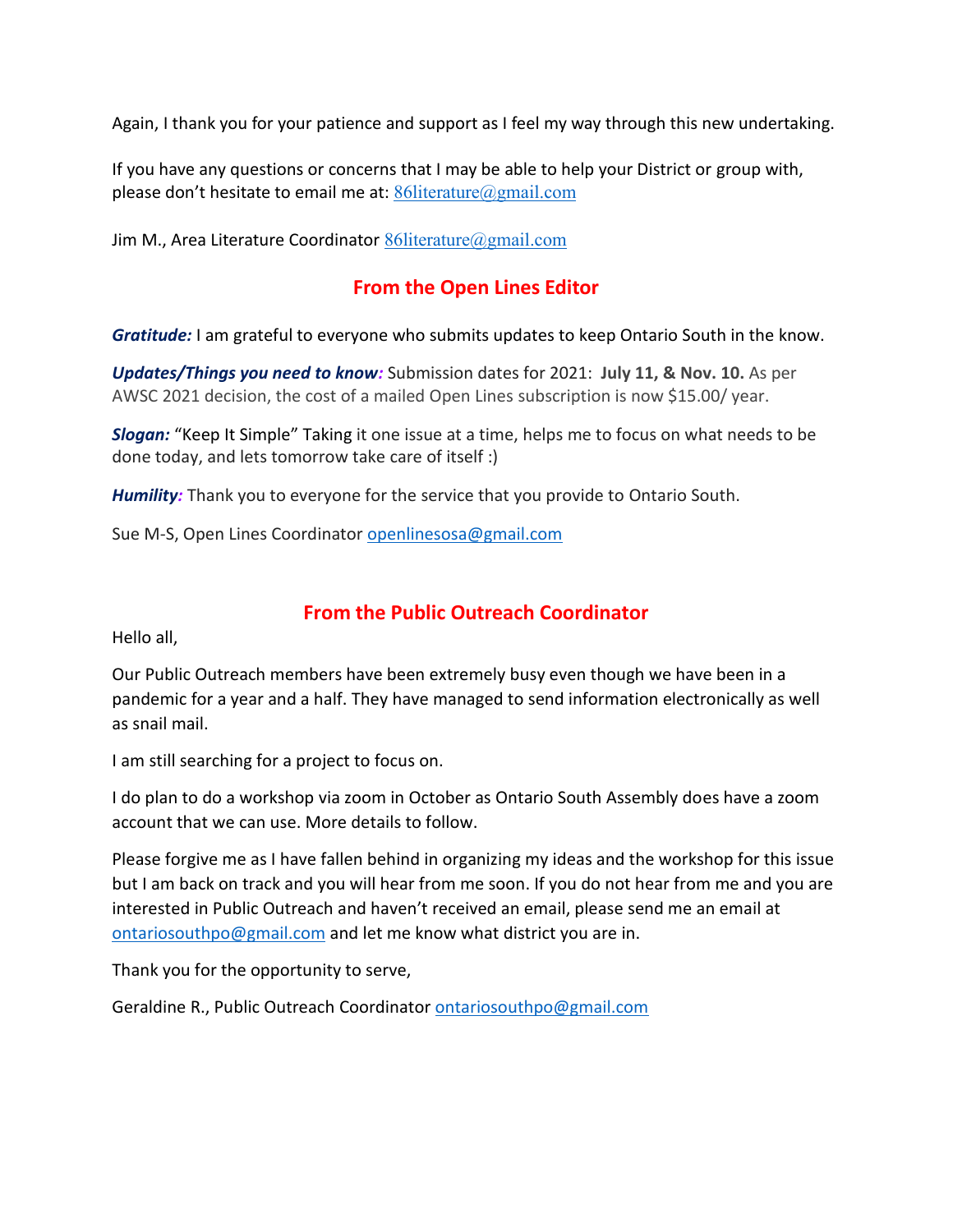Again, I thank you for your patience and support as I feel my way through this new undertaking.

If you have any questions or concerns that I may be able to help your District or group with, please don't hesitate to email me at:  $86$ literature@gmail.com

Jim M., Area Literature Coordinator  $86$ literature@gmail.com

## **From the Open Lines Editor**

*Gratitude:* I am grateful to everyone who submits updates to keep Ontario South in the know.

*Updates/Things you need to know:* Submission dates for 2021: **July 11, & Nov. 10.** As per AWSC 2021 decision, the cost of a mailed Open Lines subscription is now \$15.00/ year.

*Slogan:* "Keep It Simple" Taking it one issue at a time, helps me to focus on what needs to be done today, and lets tomorrow take care of itself :)

*Humility:* Thank you to everyone for the service that you provide to Ontario South.

Sue M-S, Open Lines Coordinator [openlinesosa@gmail.com](mailto:openlinesosa@gmail.com)

#### **From the Public Outreach Coordinator**

Hello all,

Our Public Outreach members have been extremely busy even though we have been in a pandemic for a year and a half. They have managed to send information electronically as well as snail mail.

I am still searching for a project to focus on.

I do plan to do a workshop via zoom in October as Ontario South Assembly does have a zoom account that we can use. More details to follow.

Please forgive me as I have fallen behind in organizing my ideas and the workshop for this issue but I am back on track and you will hear from me soon. If you do not hear from me and you are interested in Public Outreach and haven't received an email, please send me an email at [ontariosouthpo@gmail.com](mailto:ontariosouthpo@gmail.com) and let me know what district you are in.

Thank you for the opportunity to serve,

Geraldine R., Public Outreach Coordinator [ontariosouthpo@gmail.com](mailto:ontariosouthpo@gmail.com)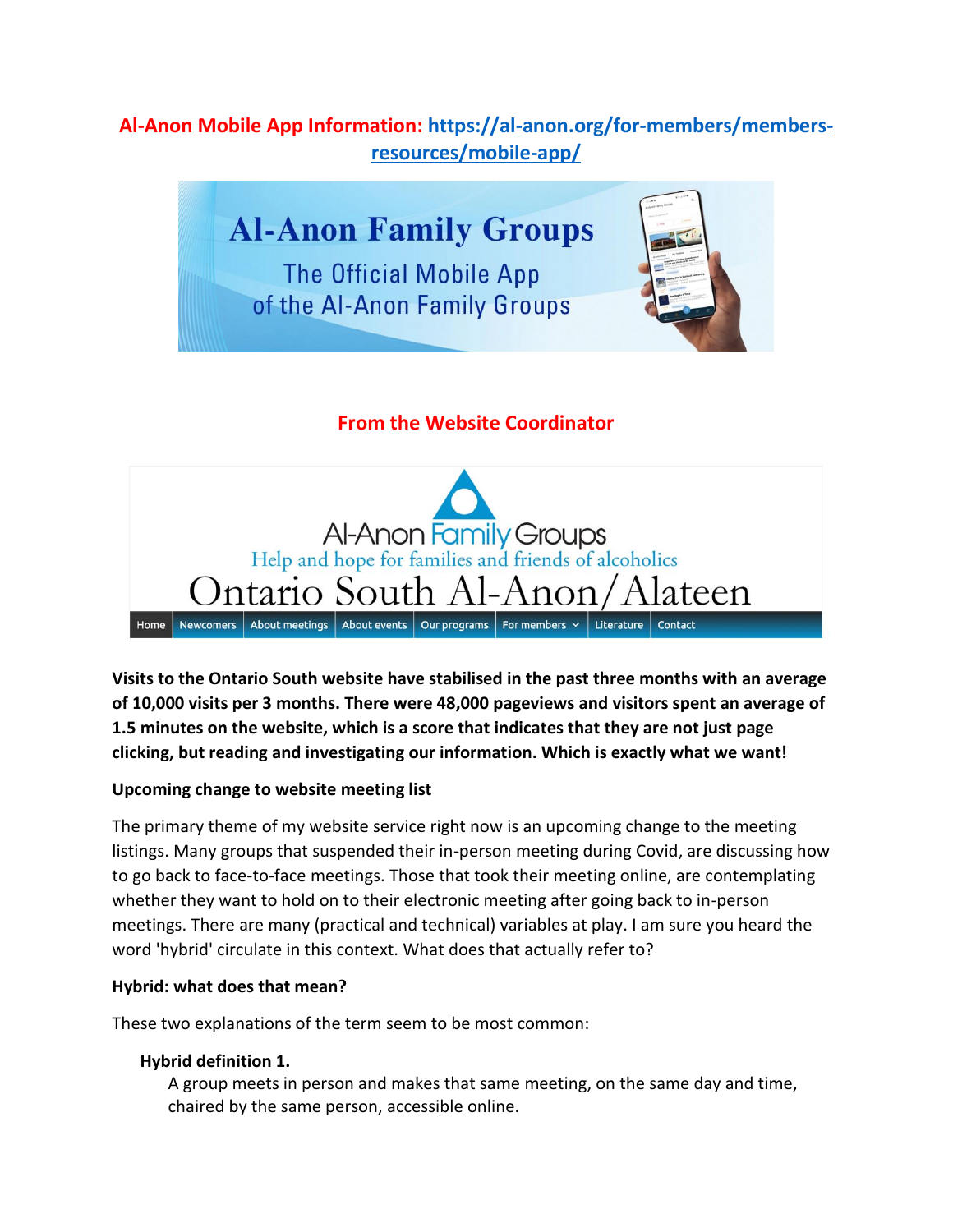## **Al-Anon Mobile App Information: [https://al-anon.org/for-members/members](https://al-anon.org/for-members/members-resources/mobile-app/)[resources/mobile-app/](https://al-anon.org/for-members/members-resources/mobile-app/)**

# **Al-Anon Family Groups**

**The Official Mobile App** of the Al-Anon Family Groups



## **From the Website Coordinator**



**Visits to the Ontario South website have stabilised in the past three months with an average of 10,000 visits per 3 months. There were 48,000 pageviews and visitors spent an average of 1.5 minutes on the website, which is a score that indicates that they are not just page clicking, but reading and investigating our information. Which is exactly what we want!**

#### **Upcoming change to website meeting list**

The primary theme of my website service right now is an upcoming change to the meeting listings. Many groups that suspended their in-person meeting during Covid, are discussing how to go back to face-to-face meetings. Those that took their meeting online, are contemplating whether they want to hold on to their electronic meeting after going back to in-person meetings. There are many (practical and technical) variables at play. I am sure you heard the word 'hybrid' circulate in this context. What does that actually refer to?

#### **Hybrid: what does that mean?**

These two explanations of the term seem to be most common:

#### **Hybrid definition 1.**

A group meets in person and makes that same meeting, on the same day and time, chaired by the same person, accessible online.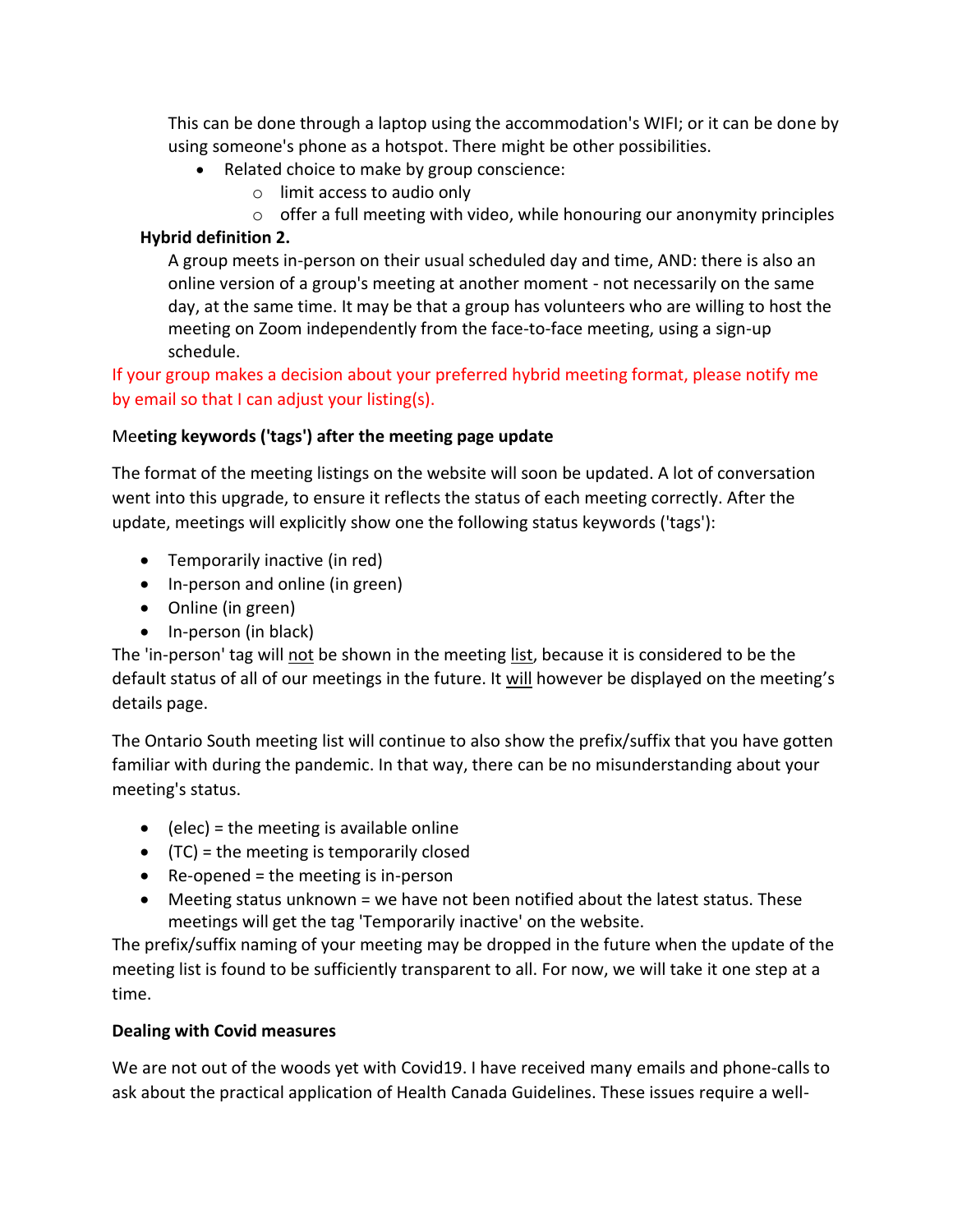This can be done through a laptop using the accommodation's WIFI; or it can be done by using someone's phone as a hotspot. There might be other possibilities.

- Related choice to make by group conscience:
	- o limit access to audio only
	- $\circ$  offer a full meeting with video, while honouring our anonymity principles

#### **Hybrid definition 2.**

A group meets in-person on their usual scheduled day and time, AND: there is also an online version of a group's meeting at another moment - not necessarily on the same day, at the same time. It may be that a group has volunteers who are willing to host the meeting on Zoom independently from the face-to-face meeting, using a sign-up schedule.

If your group makes a decision about your preferred hybrid meeting format, please notify me by email so that I can adjust your listing(s).

#### Me**eting keywords ('tags') after the meeting page update**

The format of the meeting listings on the website will soon be updated. A lot of conversation went into this upgrade, to ensure it reflects the status of each meeting correctly. After the update, meetings will explicitly show one the following status keywords ('tags'):

- Temporarily inactive (in red)
- In-person and online (in green)
- Online (in green)
- In-person (in black)

The 'in-person' tag will not be shown in the meeting list, because it is considered to be the default status of all of our meetings in the future. It will however be displayed on the meeting's details page.

The Ontario South meeting list will continue to also show the prefix/suffix that you have gotten familiar with during the pandemic. In that way, there can be no misunderstanding about your meeting's status.

- $\bullet$  (elec) = the meeting is available online
- (TC) = the meeting is temporarily closed
- Re-opened = the meeting is in-person
- Meeting status unknown = we have not been notified about the latest status. These meetings will get the tag 'Temporarily inactive' on the website.

The prefix/suffix naming of your meeting may be dropped in the future when the update of the meeting list is found to be sufficiently transparent to all. For now, we will take it one step at a time.

#### **Dealing with Covid measures**

We are not out of the woods yet with Covid19. I have received many emails and phone-calls to ask about the practical application of Health Canada Guidelines. These issues require a well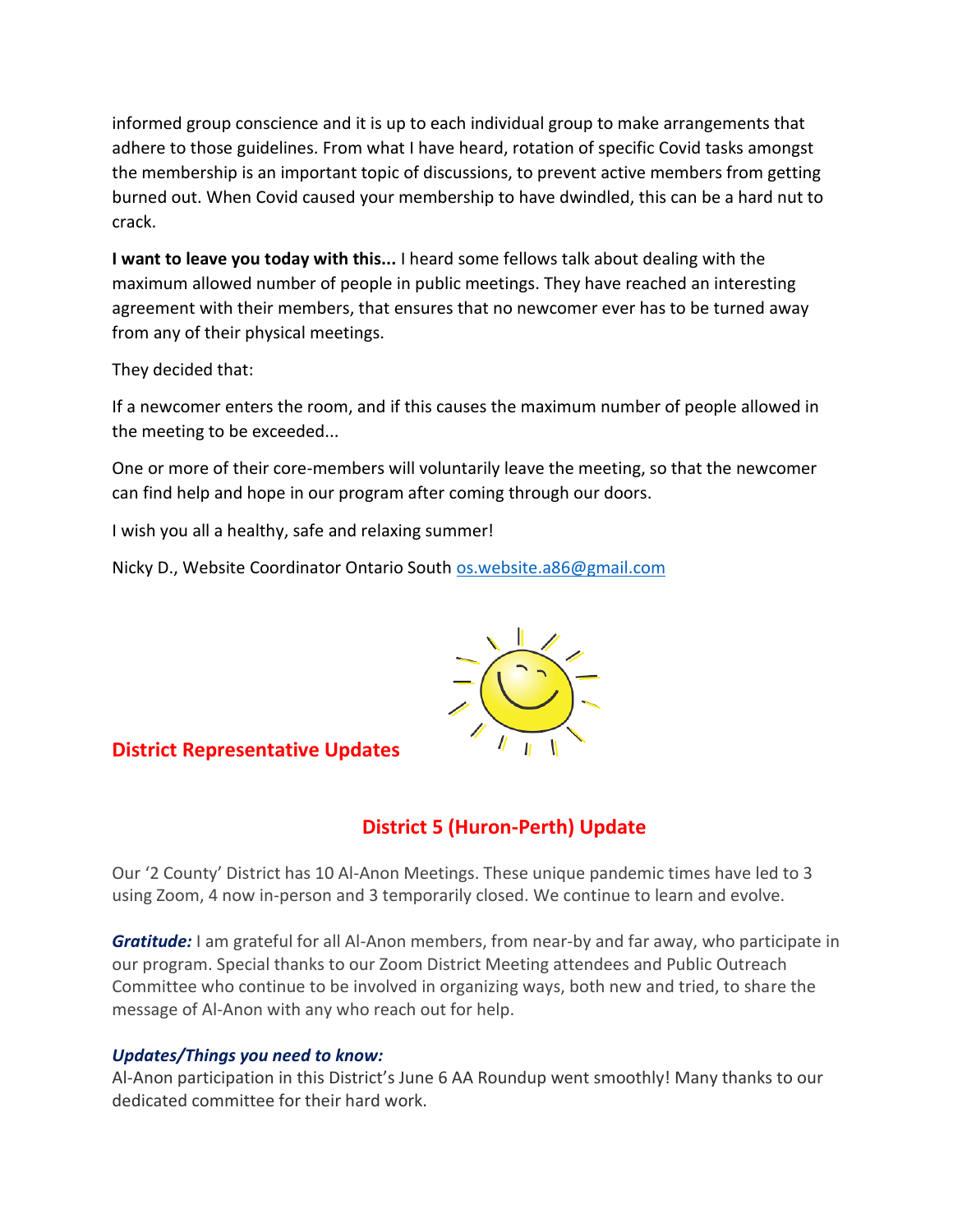informed group conscience and it is up to each individual group to make arrangements that adhere to those guidelines. From what I have heard, rotation of specific Covid tasks amongst the membership is an important topic of discussions, to prevent active members from getting burned out. When Covid caused your membership to have dwindled, this can be a hard nut to crack.

**I want to leave you today with this...** I heard some fellows talk about dealing with the maximum allowed number of people in public meetings. They have reached an interesting agreement with their members, that ensures that no newcomer ever has to be turned away from any of their physical meetings.

They decided that:

If a newcomer enters the room, and if this causes the maximum number of people allowed in the meeting to be exceeded...

One or more of their core-members will voluntarily leave the meeting, so that the newcomer can find help and hope in our program after coming through our doors.

I wish you all a healthy, safe and relaxing summer!

Nicky D., Website Coordinator Ontario South [os.website.a86@gmail.com](mailto:os.website.a86@gmail.com)



#### **District Representative Updates**

## **District 5 (Huron-Perth) Update**

Our '2 County' District has 10 Al-Anon Meetings. These unique pandemic times have led to 3 using Zoom, 4 now in-person and 3 temporarily closed. We continue to learn and evolve.

*Gratitude:* I am grateful for all Al-Anon members, from near-by and far away, who participate in our program. Special thanks to our Zoom District Meeting attendees and Public Outreach Committee who continue to be involved in organizing ways, both new and tried, to share the message of Al-Anon with any who reach out for help.

#### *Updates/Things you need to know:*

Al-Anon participation in this District's June 6 AA Roundup went smoothly! Many thanks to our dedicated committee for their hard work.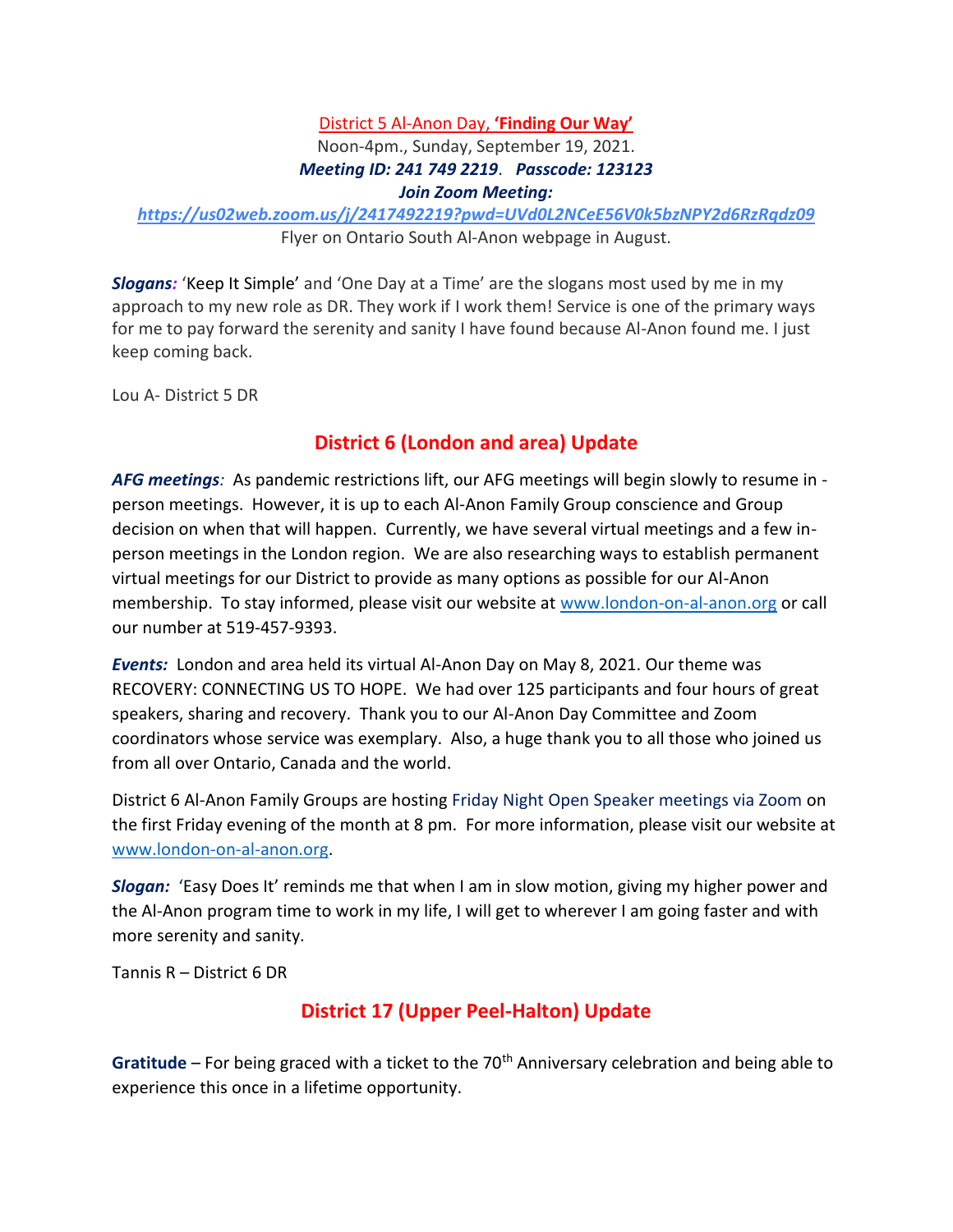#### District 5 Al-Anon Day, **'Finding Our Way'**

#### Noon-4pm., Sunday, September 19, 2021. *Meeting ID: 241 749 2219*. *Passcode: 123123 Join Zoom Meeting:*

*<https://us02web.zoom.us/j/2417492219?pwd=UVd0L2NCeE56V0k5bzNPY2d6RzRqdz09>* Flyer on Ontario South Al-Anon webpage in August.

*Slogans:* 'Keep It Simple' and 'One Day at a Time' are the slogans most used by me in my approach to my new role as DR. They work if I work them! Service is one of the primary ways for me to pay forward the serenity and sanity I have found because Al-Anon found me. I just keep coming back.

Lou A- District 5 DR

## **District 6 (London and area) Update**

*AFG meetings:* As pandemic restrictions lift, our AFG meetings will begin slowly to resume in person meetings. However, it is up to each Al-Anon Family Group conscience and Group decision on when that will happen. Currently, we have several virtual meetings and a few inperson meetings in the London region. We are also researching ways to establish permanent virtual meetings for our District to provide as many options as possible for our Al-Anon membership. To stay informed, please visit our website at [www.london-on-al-anon.org](http://www.london-on-al-anon.org/) or call our number at 519-457-9393.

*Events:* London and area held its virtual Al-Anon Day on May 8, 2021. Our theme was RECOVERY: CONNECTING US TO HOPE. We had over 125 participants and four hours of great speakers, sharing and recovery. Thank you to our Al-Anon Day Committee and Zoom coordinators whose service was exemplary. Also, a huge thank you to all those who joined us from all over Ontario, Canada and the world.

District 6 Al-Anon Family Groups are hosting Friday Night Open Speaker meetings via Zoom on the first Friday evening of the month at 8 pm. For more information, please visit our website at [www.london-on-al-anon.org.](http://www.london-on-al-anon.org/)

*Slogan:* 'Easy Does It' reminds me that when I am in slow motion, giving my higher power and the Al-Anon program time to work in my life, I will get to wherever I am going faster and with more serenity and sanity.

Tannis R – District 6 DR

## **District 17 (Upper Peel-Halton) Update**

Gratitude – For being graced with a ticket to the 70<sup>th</sup> Anniversary celebration and being able to experience this once in a lifetime opportunity.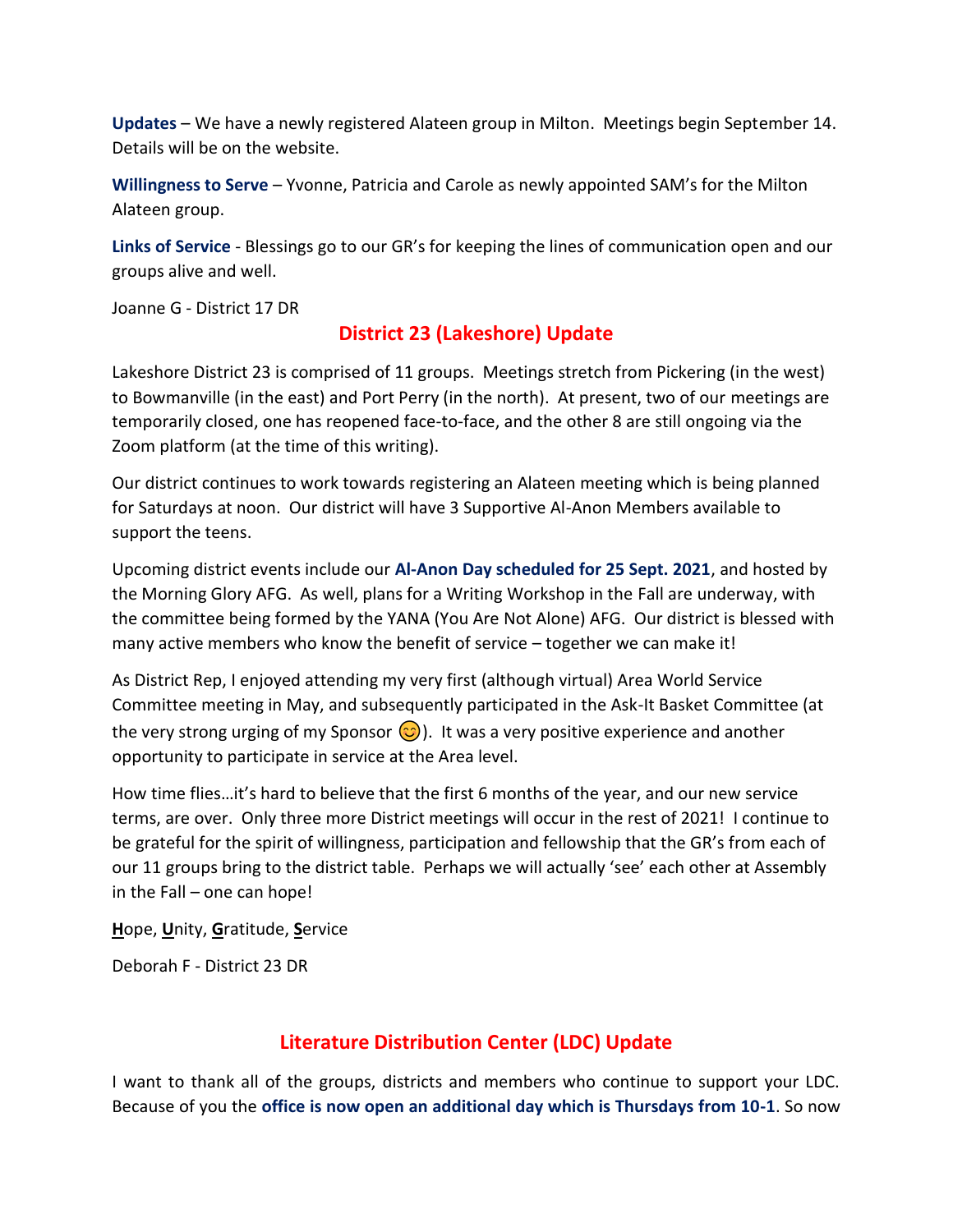**Updates** – We have a newly registered Alateen group in Milton. Meetings begin September 14. Details will be on the website.

**Willingness to Serve** – Yvonne, Patricia and Carole as newly appointed SAM's for the Milton Alateen group.

**Links of Service** - Blessings go to our GR's for keeping the lines of communication open and our groups alive and well.

Joanne G - District 17 DR

## **District 23 (Lakeshore) Update**

Lakeshore District 23 is comprised of 11 groups. Meetings stretch from Pickering (in the west) to Bowmanville (in the east) and Port Perry (in the north). At present, two of our meetings are temporarily closed, one has reopened face-to-face, and the other 8 are still ongoing via the Zoom platform (at the time of this writing).

Our district continues to work towards registering an Alateen meeting which is being planned for Saturdays at noon. Our district will have 3 Supportive Al-Anon Members available to support the teens.

Upcoming district events include our **Al-Anon Day scheduled for 25 Sept. 2021**, and hosted by the Morning Glory AFG. As well, plans for a Writing Workshop in the Fall are underway, with the committee being formed by the YANA (You Are Not Alone) AFG. Our district is blessed with many active members who know the benefit of service – together we can make it!

As District Rep, I enjoyed attending my very first (although virtual) Area World Service Committee meeting in May, and subsequently participated in the Ask-It Basket Committee (at the very strong urging of my Sponsor  $\circled{c}$ ). It was a very positive experience and another opportunity to participate in service at the Area level.

How time flies…it's hard to believe that the first 6 months of the year, and our new service terms, are over. Only three more District meetings will occur in the rest of 2021! I continue to be grateful for the spirit of willingness, participation and fellowship that the GR's from each of our 11 groups bring to the district table. Perhaps we will actually 'see' each other at Assembly in the Fall – one can hope!

**H**ope, **U**nity, **G**ratitude, **S**ervice

Deborah F - District 23 DR

## **Literature Distribution Center (LDC) Update**

I want to thank all of the groups, districts and members who continue to support your LDC. Because of you the **office is now open an additional day which is Thursdays from 10-1**. So now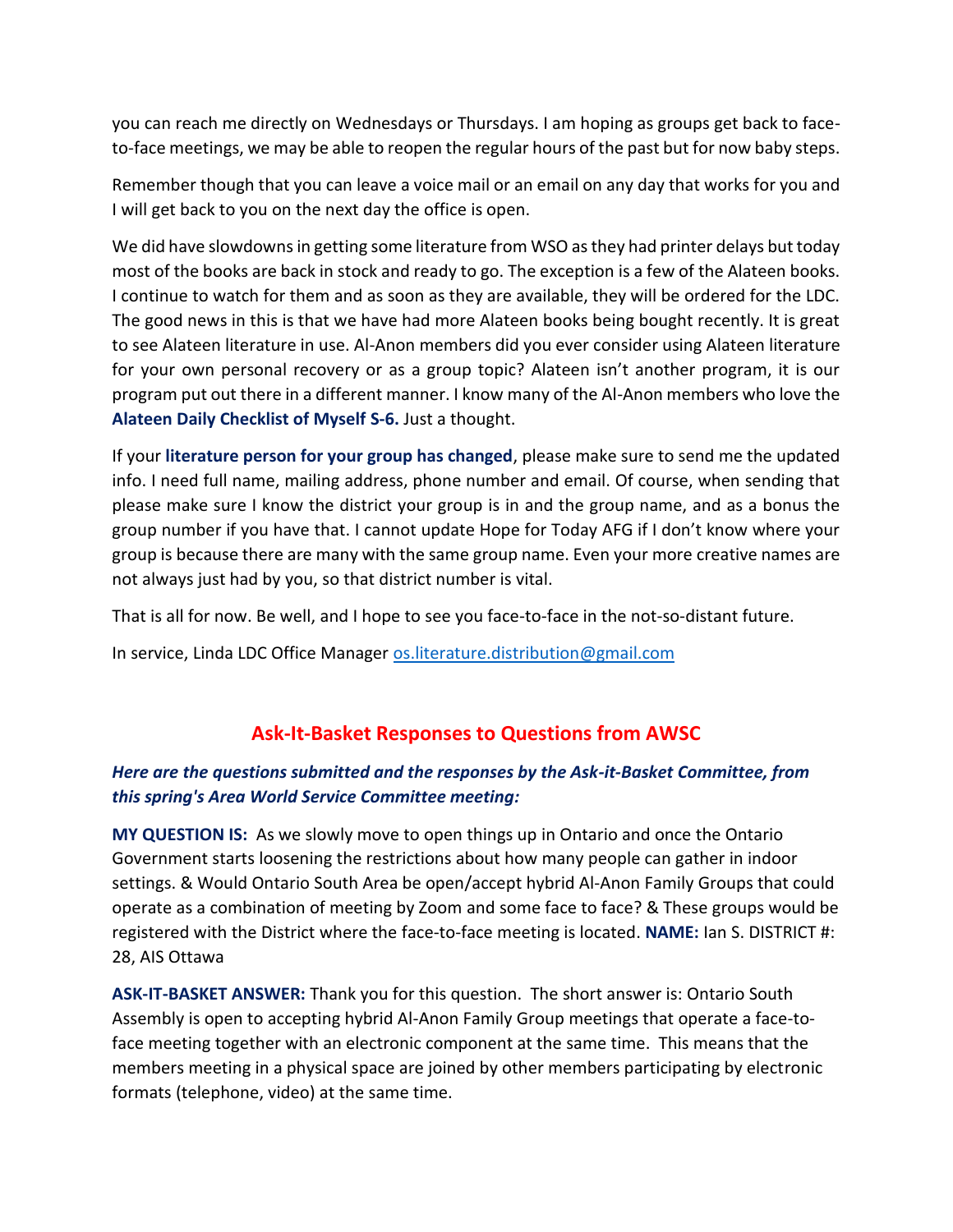you can reach me directly on Wednesdays or Thursdays. I am hoping as groups get back to faceto-face meetings, we may be able to reopen the regular hours of the past but for now baby steps.

Remember though that you can leave a voice mail or an email on any day that works for you and I will get back to you on the next day the office is open.

We did have slowdowns in getting some literature from WSO as they had printer delays but today most of the books are back in stock and ready to go. The exception is a few of the Alateen books. I continue to watch for them and as soon as they are available, they will be ordered for the LDC. The good news in this is that we have had more Alateen books being bought recently. It is great to see Alateen literature in use. Al-Anon members did you ever consider using Alateen literature for your own personal recovery or as a group topic? Alateen isn't another program, it is our program put out there in a different manner. I know many of the Al-Anon members who love the **Alateen Daily Checklist of Myself S-6.** Just a thought.

If your **literature person for your group has changed**, please make sure to send me the updated info. I need full name, mailing address, phone number and email. Of course, when sending that please make sure I know the district your group is in and the group name, and as a bonus the group number if you have that. I cannot update Hope for Today AFG if I don't know where your group is because there are many with the same group name. Even your more creative names are not always just had by you, so that district number is vital.

That is all for now. Be well, and I hope to see you face-to-face in the not-so-distant future.

In service, Linda LDC Office Manager [os.literature.distribution@gmail.com](mailto:os.literature.distribution@gmail.com)

## **Ask-It-Basket Responses to Questions from AWSC**

#### *Here are the questions submitted and the responses by the Ask-it-Basket Committee, from this spring's Area World Service Committee meeting:*

**MY QUESTION IS:** As we slowly move to open things up in Ontario and once the Ontario Government starts loosening the restrictions about how many people can gather in indoor settings. & Would Ontario South Area be open/accept hybrid Al-Anon Family Groups that could operate as a combination of meeting by Zoom and some face to face? & These groups would be registered with the District where the face-to-face meeting is located. **NAME:** Ian S. DISTRICT #: 28, AIS Ottawa

**ASK-IT-BASKET ANSWER:** Thank you for this question. The short answer is: Ontario South Assembly is open to accepting hybrid Al-Anon Family Group meetings that operate a face-toface meeting together with an electronic component at the same time. This means that the members meeting in a physical space are joined by other members participating by electronic formats (telephone, video) at the same time.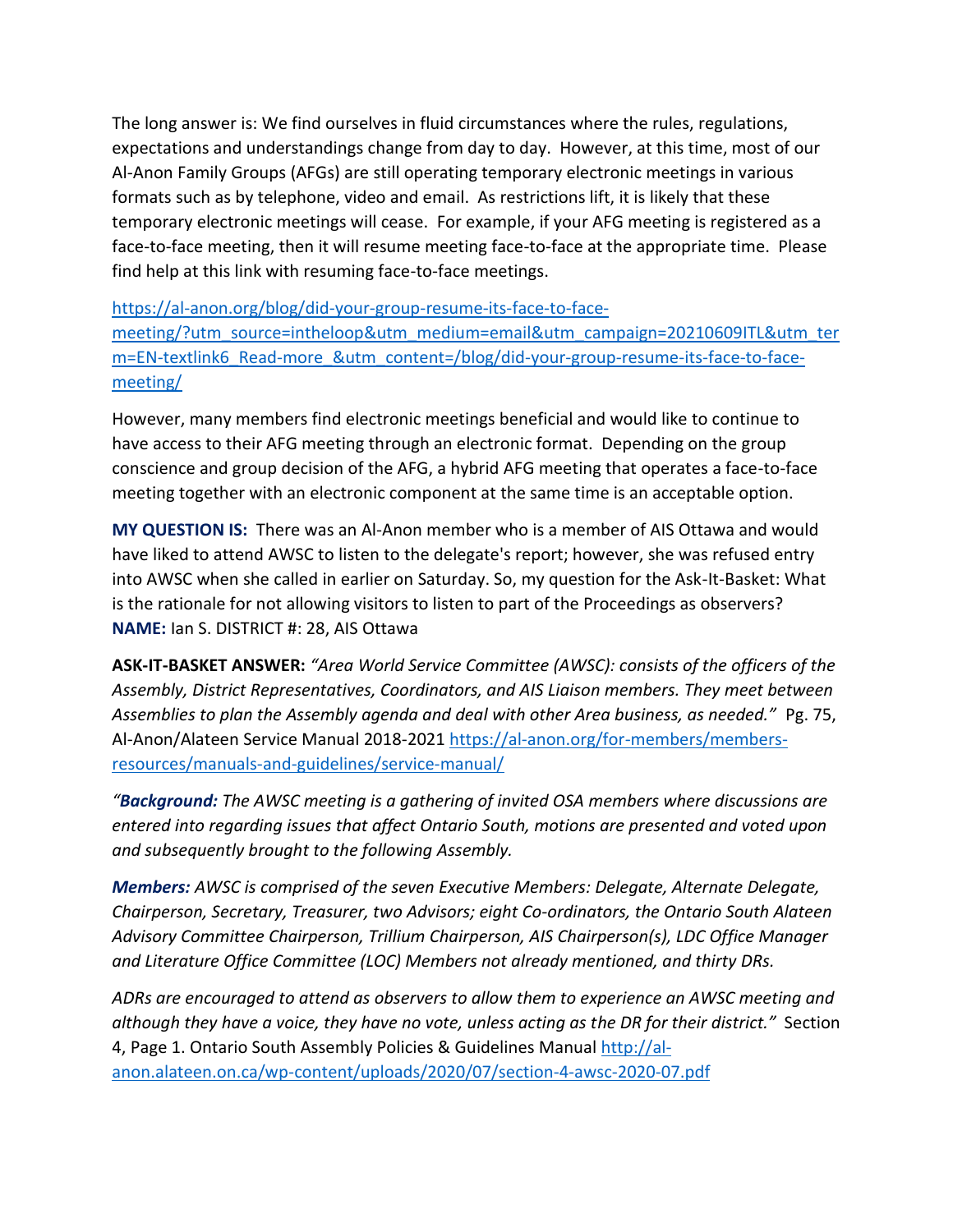The long answer is: We find ourselves in fluid circumstances where the rules, regulations, expectations and understandings change from day to day. However, at this time, most of our Al-Anon Family Groups (AFGs) are still operating temporary electronic meetings in various formats such as by telephone, video and email. As restrictions lift, it is likely that these temporary electronic meetings will cease. For example, if your AFG meeting is registered as a face-to-face meeting, then it will resume meeting face-to-face at the appropriate time. Please find help at this link with resuming face-to-face meetings.

[https://al-anon.org/blog/did-your-group-resume-its-face-to-face-](https://al-anon.org/blog/did-your-group-resume-its-face-to-face-meeting/?utm_source=intheloop&utm_medium=email&utm_campaign=20210609ITL&utm_term=EN-textlink6_Read-more_&utm_content=/blog/did-your-group-resume-its-face-to-face-meeting/)

[meeting/?utm\\_source=intheloop&utm\\_medium=email&utm\\_campaign=20210609ITL&utm\\_ter](https://al-anon.org/blog/did-your-group-resume-its-face-to-face-meeting/?utm_source=intheloop&utm_medium=email&utm_campaign=20210609ITL&utm_term=EN-textlink6_Read-more_&utm_content=/blog/did-your-group-resume-its-face-to-face-meeting/) [m=EN-textlink6\\_Read-more\\_&utm\\_content=/blog/did-your-group-resume-its-face-to-face](https://al-anon.org/blog/did-your-group-resume-its-face-to-face-meeting/?utm_source=intheloop&utm_medium=email&utm_campaign=20210609ITL&utm_term=EN-textlink6_Read-more_&utm_content=/blog/did-your-group-resume-its-face-to-face-meeting/)[meeting/](https://al-anon.org/blog/did-your-group-resume-its-face-to-face-meeting/?utm_source=intheloop&utm_medium=email&utm_campaign=20210609ITL&utm_term=EN-textlink6_Read-more_&utm_content=/blog/did-your-group-resume-its-face-to-face-meeting/)

However, many members find electronic meetings beneficial and would like to continue to have access to their AFG meeting through an electronic format. Depending on the group conscience and group decision of the AFG, a hybrid AFG meeting that operates a face-to-face meeting together with an electronic component at the same time is an acceptable option.

**MY QUESTION IS:** There was an Al-Anon member who is a member of AIS Ottawa and would have liked to attend AWSC to listen to the delegate's report; however, she was refused entry into AWSC when she called in earlier on Saturday. So, my question for the Ask-It-Basket: What is the rationale for not allowing visitors to listen to part of the Proceedings as observers? **NAME:** Ian S. DISTRICT #: 28, AIS Ottawa

**ASK-IT-BASKET ANSWER:** *"Area World Service Committee (AWSC): consists of the officers of the Assembly, District Representatives, Coordinators, and AIS Liaison members. They meet between Assemblies to plan the Assembly agenda and deal with other Area business, as needed."* Pg. 75, Al-Anon/Alateen Service Manual 2018-2021 [https://al-anon.org/for-members/members](https://al-anon.org/for-members/members-resources/manuals-and-guidelines/service-manual/)[resources/manuals-and-guidelines/service-manual/](https://al-anon.org/for-members/members-resources/manuals-and-guidelines/service-manual/)

*"Background: The AWSC meeting is a gathering of invited OSA members where discussions are entered into regarding issues that affect Ontario South, motions are presented and voted upon and subsequently brought to the following Assembly.* 

*Members: AWSC is comprised of the seven Executive Members: Delegate, Alternate Delegate, Chairperson, Secretary, Treasurer, two Advisors; eight Co-ordinators, the Ontario South Alateen Advisory Committee Chairperson, Trillium Chairperson, AIS Chairperson(s), LDC Office Manager and Literature Office Committee (LOC) Members not already mentioned, and thirty DRs.* 

*ADRs are encouraged to attend as observers to allow them to experience an AWSC meeting and although they have a voice, they have no vote, unless acting as the DR for their district."* Section 4, Page 1. Ontario South Assembly Policies & Guidelines Manual [http://al](http://al-anon.alateen.on.ca/wp-content/uploads/2020/07/section-4-awsc-2020-07.pdf)[anon.alateen.on.ca/wp-content/uploads/2020/07/section-4-awsc-2020-07.pdf](http://al-anon.alateen.on.ca/wp-content/uploads/2020/07/section-4-awsc-2020-07.pdf)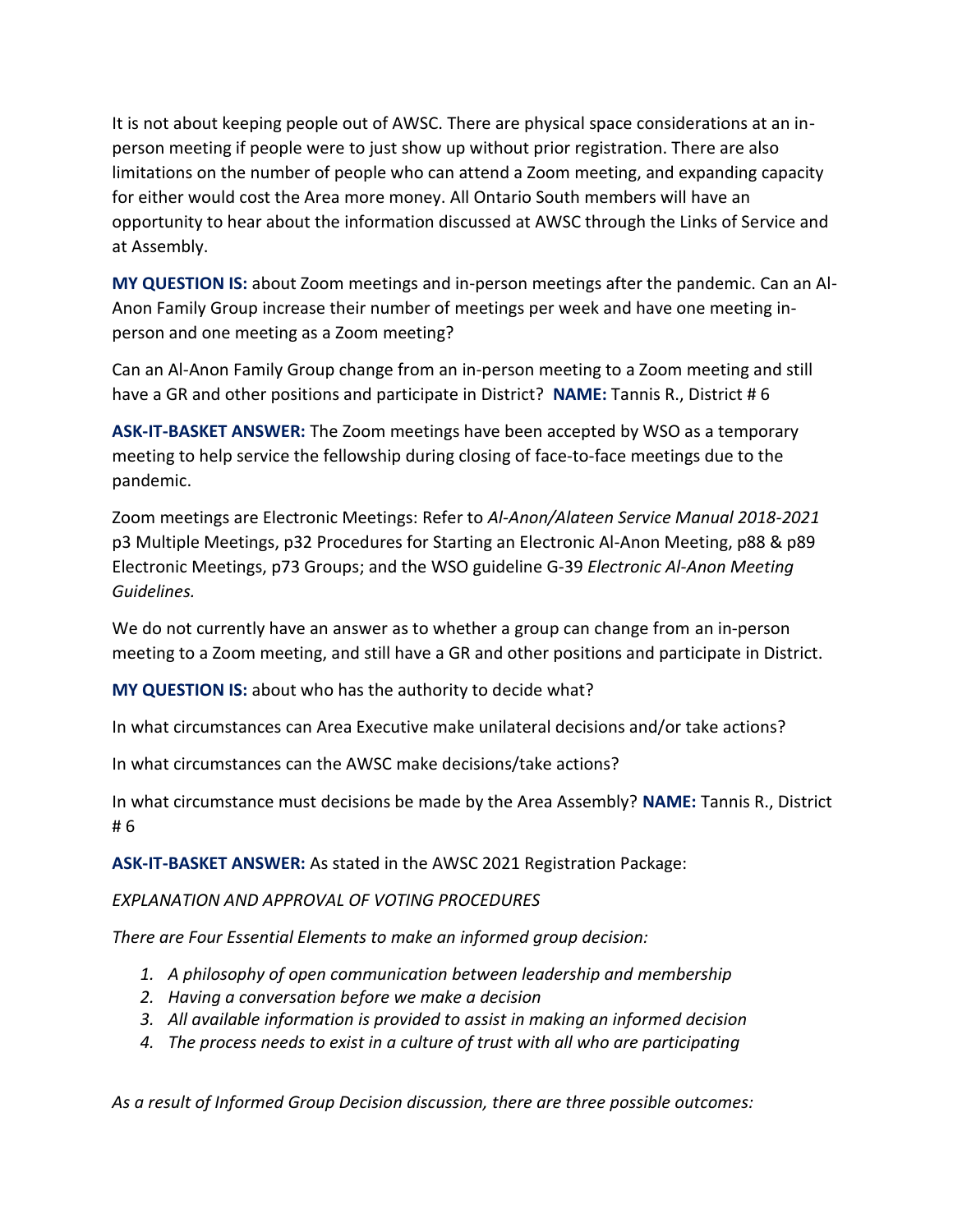It is not about keeping people out of AWSC. There are physical space considerations at an inperson meeting if people were to just show up without prior registration. There are also limitations on the number of people who can attend a Zoom meeting, and expanding capacity for either would cost the Area more money. All Ontario South members will have an opportunity to hear about the information discussed at AWSC through the Links of Service and at Assembly.

**MY QUESTION IS:** about Zoom meetings and in-person meetings after the pandemic. Can an Al-Anon Family Group increase their number of meetings per week and have one meeting inperson and one meeting as a Zoom meeting?

Can an Al-Anon Family Group change from an in-person meeting to a Zoom meeting and still have a GR and other positions and participate in District? **NAME:** Tannis R., District # 6

**ASK-IT-BASKET ANSWER:** The Zoom meetings have been accepted by WSO as a temporary meeting to help service the fellowship during closing of face-to-face meetings due to the pandemic.

Zoom meetings are Electronic Meetings: Refer to *Al-Anon/Alateen Service Manual 2018-2021* p3 Multiple Meetings, p32 Procedures for Starting an Electronic Al-Anon Meeting, p88 & p89 Electronic Meetings, p73 Groups; and the WSO guideline G-39 *Electronic Al-Anon Meeting Guidelines.*

We do not currently have an answer as to whether a group can change from an in-person meeting to a Zoom meeting, and still have a GR and other positions and participate in District.

**MY QUESTION IS:** about who has the authority to decide what?

In what circumstances can Area Executive make unilateral decisions and/or take actions?

In what circumstances can the AWSC make decisions/take actions?

In what circumstance must decisions be made by the Area Assembly? **NAME:** Tannis R., District # 6

**ASK-IT-BASKET ANSWER:** As stated in the AWSC 2021 Registration Package:

#### *EXPLANATION AND APPROVAL OF VOTING PROCEDURES*

*There are Four Essential Elements to make an informed group decision:*

- *1. A philosophy of open communication between leadership and membership*
- *2. Having a conversation before we make a decision*
- *3. All available information is provided to assist in making an informed decision*
- *4. The process needs to exist in a culture of trust with all who are participating*

*As a result of Informed Group Decision discussion, there are three possible outcomes:*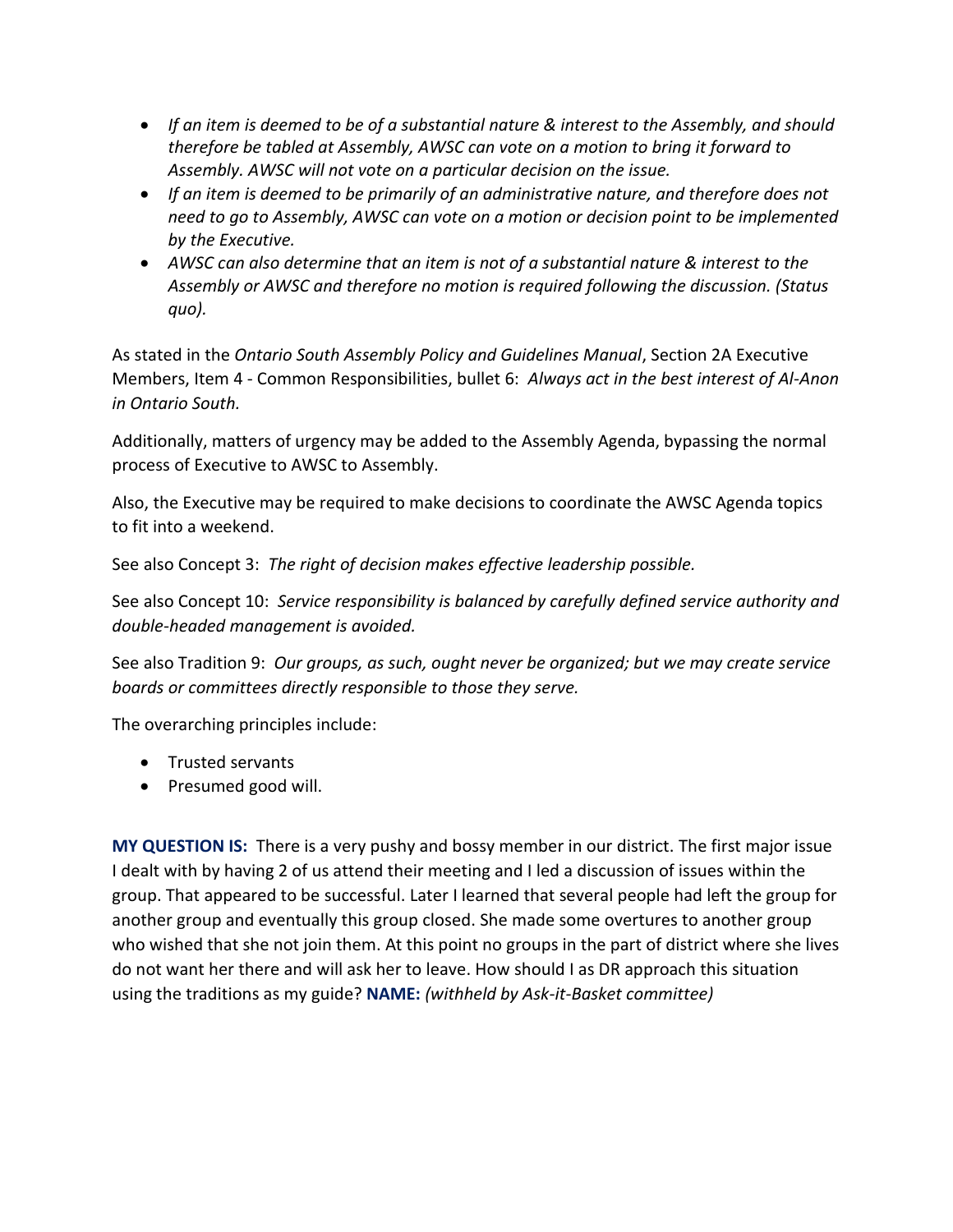- *If an item is deemed to be of a substantial nature & interest to the Assembly, and should therefore be tabled at Assembly, AWSC can vote on a motion to bring it forward to Assembly. AWSC will not vote on a particular decision on the issue.*
- *If an item is deemed to be primarily of an administrative nature, and therefore does not need to go to Assembly, AWSC can vote on a motion or decision point to be implemented by the Executive.*
- *AWSC can also determine that an item is not of a substantial nature & interest to the Assembly or AWSC and therefore no motion is required following the discussion. (Status quo).*

As stated in the *Ontario South Assembly Policy and Guidelines Manual*, Section 2A Executive Members, Item 4 - Common Responsibilities, bullet 6: *Always act in the best interest of Al-Anon in Ontario South.*

Additionally, matters of urgency may be added to the Assembly Agenda, bypassing the normal process of Executive to AWSC to Assembly.

Also, the Executive may be required to make decisions to coordinate the AWSC Agenda topics to fit into a weekend.

See also Concept 3: *The right of decision makes effective leadership possible.*

See also Concept 10: *Service responsibility is balanced by carefully defined service authority and double-headed management is avoided.*

See also Tradition 9: *Our groups, as such, ought never be organized; but we may create service boards or committees directly responsible to those they serve.*

The overarching principles include:

- Trusted servants
- Presumed good will.

**MY QUESTION IS:** There is a very pushy and bossy member in our district. The first major issue I dealt with by having 2 of us attend their meeting and I led a discussion of issues within the group. That appeared to be successful. Later I learned that several people had left the group for another group and eventually this group closed. She made some overtures to another group who wished that she not join them. At this point no groups in the part of district where she lives do not want her there and will ask her to leave. How should I as DR approach this situation using the traditions as my guide? **NAME:** *(withheld by Ask-it-Basket committee)*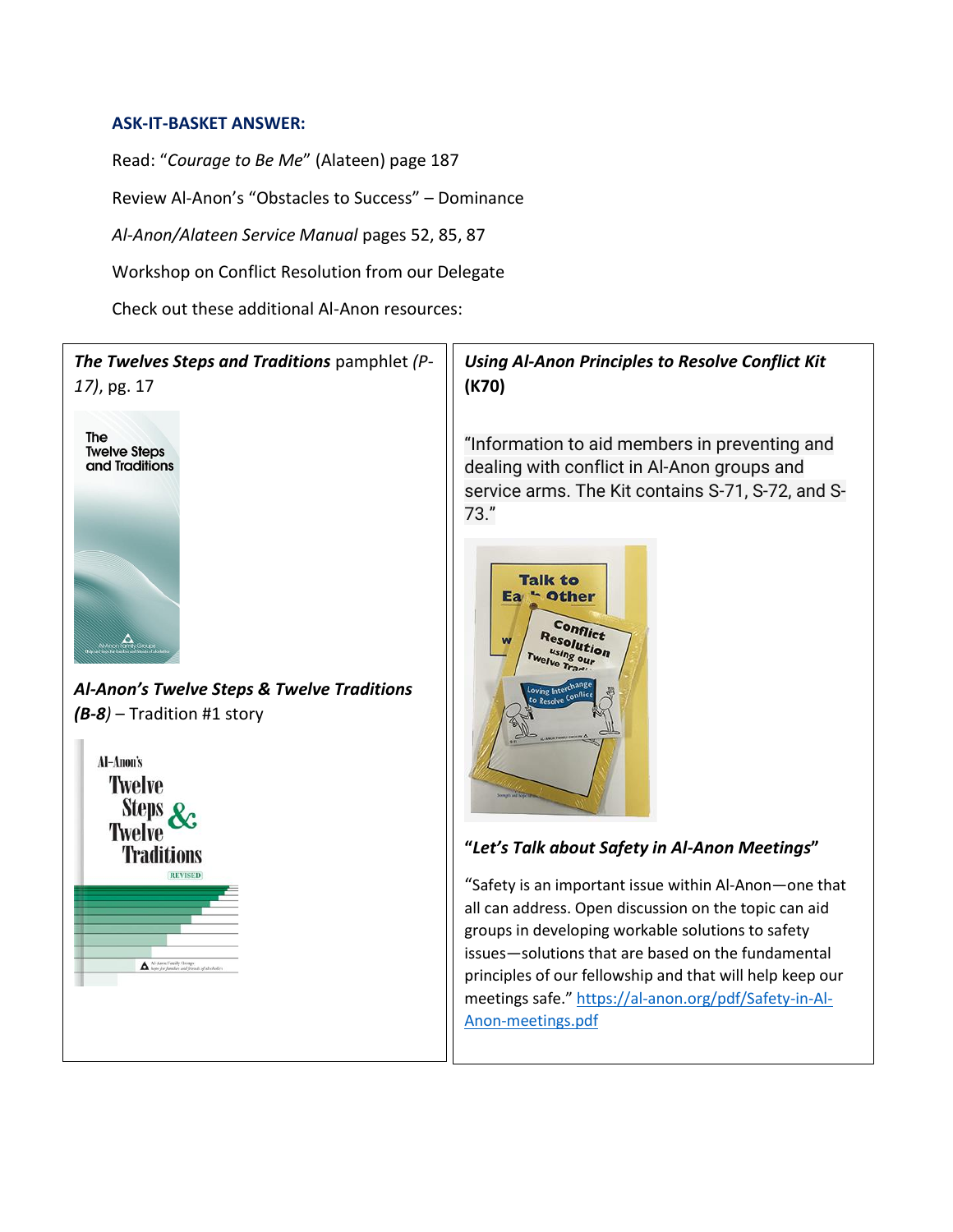#### **ASK-IT-BASKET ANSWER:**

Read: "*Courage to Be Me*" (Alateen) page 187 Review Al-Anon's "Obstacles to Success" – Dominance *Al-Anon/Alateen Service Manual* pages 52, 85, 87 Workshop on Conflict Resolution from our Delegate Check out these additional Al-Anon resources:

## *The Twelves Steps and Traditions* pamphlet *(P-17)*, pg. 17



*Al-Anon's Twelve Steps & Twelve Traditions (B-8)* – Tradition #1 story



#### *Using Al-Anon Principles to Resolve Conflict Kit* **(K70)**

"Information to aid members in preventing and dealing with conflict in Al-Anon groups and service arms. The Kit contains S-71, S-72, and S-73."



#### **"***Let's Talk about Safety in Al-Anon Meetings***"**

"Safety is an important issue within Al-Anon—one that all can address. Open discussion on the topic can aid groups in developing workable solutions to safety issues—solutions that are based on the fundamental principles of our fellowship and that will help keep our meetings safe." [https://al-anon.org/pdf/Safety-in-Al-](https://al-anon.org/pdf/Safety-in-Al-Anon-meetings.pdf)[Anon-meetings.pdf](https://al-anon.org/pdf/Safety-in-Al-Anon-meetings.pdf)